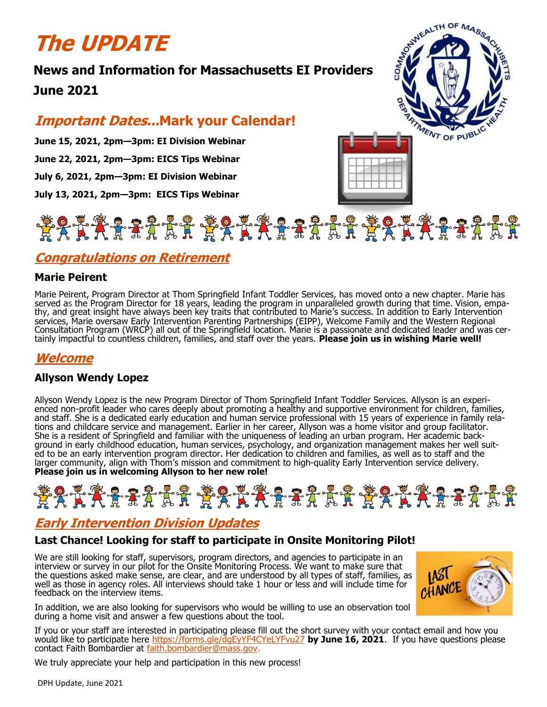# **The UPDATE**

# **News and Information for Massachusetts EI Providers June 2021**

## **Important Dates...Mark your Calendar!**

**June 15, 2021, 2pm—3pm: EI Division Webinar June 22, 2021, 2pm—3pm: EICS Tips Webinar July 6, 2021, 2pm—3pm: EI Division Webinar July 13, 2021, 2pm—3pm: EICS Tips Webinar**

# \*\*\*\*\*\*\*\*\*\*\*\*\*\*\*\*\*\*\*\*\*\*\*\*\*\*\*\*\*\*\*\*\*\*

### **Congratulations on Retirement**

#### **Marie Peirent**

Marie Peirent, Program Director at Thom Springfield Infant Toddler Services, has moved onto a new chapter. Marie has served as the Program Director for 18 years, leading the program in unparalleled growth during that time. Vision, empathy, and great insight have always been key traits that contributed to Marie's success. In addition to Early Intervention services, Marie oversaw Early Intervention Parenting Partnerships (EIPP), Welcome Family and the Western Regional Consultation Program (WRCP) all out of the Springfield location. Marie is a passionate and dedicated leader and was certainly impactful to countless children, families, and staff over the years. **Please join us in wishing Marie well!**

### **Welcome**

#### **Allyson Wendy Lopez**

Allyson Wendy Lopez is the new Program Director of Thom Springfield Infant Toddler Services. Allyson is an experienced non-profit leader who cares deeply about promoting a healthy and supportive environment for children, families, and staff. She is a dedicated early education and human service professional with 15 years of experience in family relations and childcare service and management. Earlier in her career, Allyson was a home visitor and group facilitator. She is a resident of Springfield and familiar with the uniqueness of leading an urban program. Her academic background in early childhood education, human services, psychology, and organization management makes her well suited to be an early intervention program director. Her dedication to children and families, as well as to staff and the larger community, align with Thom's mission and commitment to high-quality Early Intervention service delivery. **Please join us in welcoming Allyson to her new role!**

# **\*\*\*\*\*\*\*\*\*\*\*\*\*\*\*\*\*\*\*\*\*\*\*\*\*\*\*\*\*\*\*\*\***

## **Early Intervention Division Updates**

#### **Last Chance! Looking for staff to participate in Onsite Monitoring Pilot!**

We are still looking for staff, supervisors, program directors, and agencies to participate in an interview or survey in our pilot for the Onsite Monitoring Process. We want to make sure that the questions asked make sense, are clear, and are understood by all types of staff, families, as well as those in agency roles. All interviews should take 1 hour or less and will include time for feedback on the interview items.

In addition, we are also looking for supervisors who would be willing to use an observation tool during a home visit and answer a few questions about the tool.

If you or your staff are interested in participating please fill out the short survey with your contact email and how you would like to participate here<https://forms.gle/dgEyYF4CYeLYFvu27> **by June 16, 2021**. If you have questions please contact Faith Bombardier at [faith.bombardier@mass.gov.](mailto:faith.bombardier@mass.gov)

We truly appreciate your help and participation in this new process!



CHANCI

SERVICE ALTH OF MASS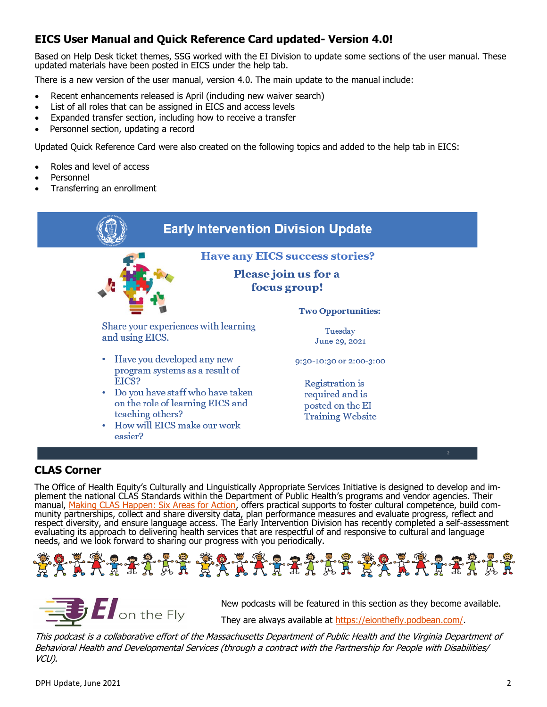### **EICS User Manual and Quick Reference Card updated- Version 4.0!**

Based on Help Desk ticket themes, SSG worked with the EI Division to update some sections of the user manual. These updated materials have been posted in EICS under the help tab.

There is a new version of the user manual, version 4.0. The main update to the manual include:

- Recent enhancements released is April (including new waiver search)
- List of all roles that can be assigned in EICS and access levels
- Expanded transfer section, including how to receive a transfer
- Personnel section, updating a record

Updated Quick Reference Card were also created on the following topics and added to the help tab in EICS:

- Roles and level of access
- Personnel
- Transferring an enrollment



The Office of Health Equity's Culturally and Linguistically Appropriate Services Initiative is designed to develop and implement the national CLAS Standards within the Department of Public Health's programs and vendor agencies. Their manual, <u>Making CLAS Happen: Six Areas for Action</u>, offers practical supports to foster cultural competence, build community partnerships, collect and share diversity data, plan performance measures and evaluate progress, reflect and respect diversity, and ensure language access. The Early Intervention Division has recently completed a self-assessment evaluating its approach to delivering health services that are respectful of and responsive to cultural and language needs, and we look forward to sharing our progress with you periodically.





New podcasts will be featured in this section as they become available.

They are always available at [https://eionthefly.podbean.com/.](https://eionthefly.podbean.com/)

This podcast is a collaborative effort of the Massachusetts Department of Public Health and the Virginia Department of Behavioral Health and Developmental Services (through a contract with the Partnership for People with Disabilities/ VCU).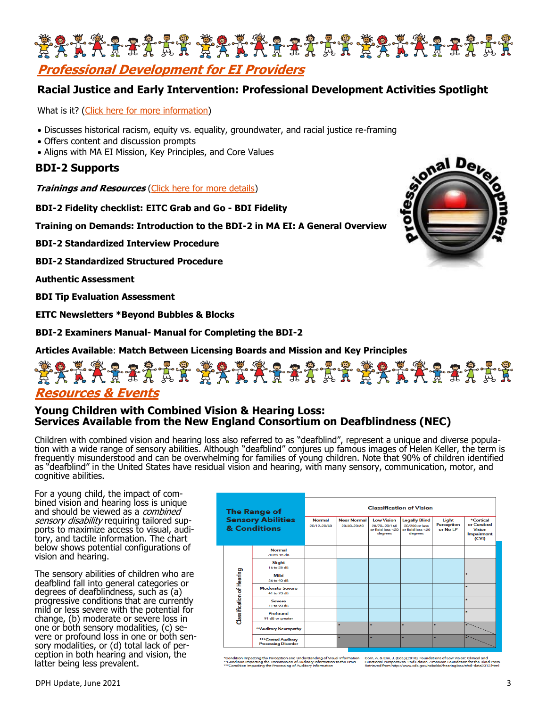

**Professional Development for EI Providers**

#### **Racial Justice and Early Intervention: Professional Development Activities Spotlight**

What is it? [\(Click here for more information\)](https://files.constantcontact.com/dafff9ae001/1cd5fa37-22bc-4dea-958d-f48a4cea7f3a.pdf)

- Discusses historical racism, equity vs. equality, groundwater, and racial justice re-framing
- Offers content and discussion prompts
- Aligns with MA EI Mission, Key Principles, and Core Values

#### **BDI-2 Supports**

**Trainings and Resources** [\(Click here for more details\)](https://files.constantcontact.com/dafff9ae001/dad22d71-5858-44db-8bc6-379bd6e556cd.pdf)

**BDI-2 Fidelity checklist: EITC Grab and Go - BDI Fidelity**

**Training on Demands: Introduction to the BDI-2 in MA EI: A General Overview**

**BDI-2 Standardized Interview Procedure**

**BDI-2 Standardized Structured Procedure**

**Authentic Assessment**

**BDI Tip Evaluation Assessment**

**EITC Newsletters \*Beyond Bubbles & Blocks**

**BDI-2 Examiners Manual- Manual for Completing the BDI-2**

**Articles Available**: **Match Between Licensing Boards and Mission and Key Principles**

# KARAF RAKARAF RAKARAF RAK **Resources & Events**

#### **Young Children with Combined Vision & Hearing Loss: Services Available from the New England Consortium on Deafblindness (NEC)**

Children with combined vision and hearing loss also referred to as "deafblind", represent a unique and diverse population with a wide range of sensory abilities. Although "deafblind" conjures up famous images of Helen Keller, the term is frequently misunderstood and can be overwhelming for families of young children. Note that 90% of children identified as "deafblind" in the United States have residual vision and hearing, with many sensory, communication, motor, and cognitive abilities.

For a young child, the impact of combined vision and hearing loss is unique and should be viewed as a *combined* sensory disability requiring tailored supports to maximize access to visual, auditory, and tactile information. The chart below shows potential configurations of vision and hearing.

The sensory abilities of children who are deafblind fall into general categories or degrees of deafblindness, such as (a) progressive conditions that are currently mild or less severe with the potential for change, (b) moderate or severe loss in one or both sensory modalities, (c) severe or profound loss in one or both sensory modalities, or (d) total lack of perception in both hearing and vision, the latter being less prevalent.

| <b>The Range of</b><br><b>Sensory Abilities</b><br>& Conditions |                                                   | <b>Normal</b><br>20/12-20/40 | <b>Near Normal</b><br>20/40-20/60 | <b>Low Vision</b><br>20/70-20/160<br>or field loss <20<br>dearees | <b>Classification of Vision</b><br><b>Legally Blind</b><br>20/200 or less<br>or field loss <20<br>degrees | Light<br><b>Perception</b><br>or No LP | *Cortical<br>or Cerebral<br><b>Vision</b><br><b>Impairment</b><br>(CVI) |
|-----------------------------------------------------------------|---------------------------------------------------|------------------------------|-----------------------------------|-------------------------------------------------------------------|-----------------------------------------------------------------------------------------------------------|----------------------------------------|-------------------------------------------------------------------------|
| <b>Classification of Hearing</b>                                | <b>Normal</b><br>$-10$ to $15$ dB                 |                              |                                   |                                                                   |                                                                                                           |                                        |                                                                         |
|                                                                 | Slight<br>16 to 25 dB                             |                              |                                   |                                                                   |                                                                                                           |                                        |                                                                         |
|                                                                 | Mild<br>26 to 40 dB                               |                              |                                   |                                                                   |                                                                                                           |                                        | $\star$                                                                 |
|                                                                 | Moderate-Severe<br>41 to 70 dB                    |                              |                                   |                                                                   |                                                                                                           |                                        | ٠                                                                       |
|                                                                 | Severe<br>71 to 90 dB                             |                              |                                   |                                                                   |                                                                                                           |                                        | ٠                                                                       |
|                                                                 | Profound<br>91 dB or greater                      |                              |                                   |                                                                   |                                                                                                           |                                        | ٠                                                                       |
|                                                                 | ** Auditory Neuropathy                            |                              | $\star$                           | ٠                                                                 | ÷                                                                                                         | ٠                                      |                                                                         |
|                                                                 | ***Central Auditory<br><b>Processing Disorder</b> |                              | ٠                                 | $\bullet$                                                         | ٠                                                                                                         | ٠                                      |                                                                         |

Corn, A. & Erin, J. (Eds.) (2010). Foundation<br>Functional Perspectives, 2nd Edition. Am<br>Retrieved from Mar (Assurando acu/achia